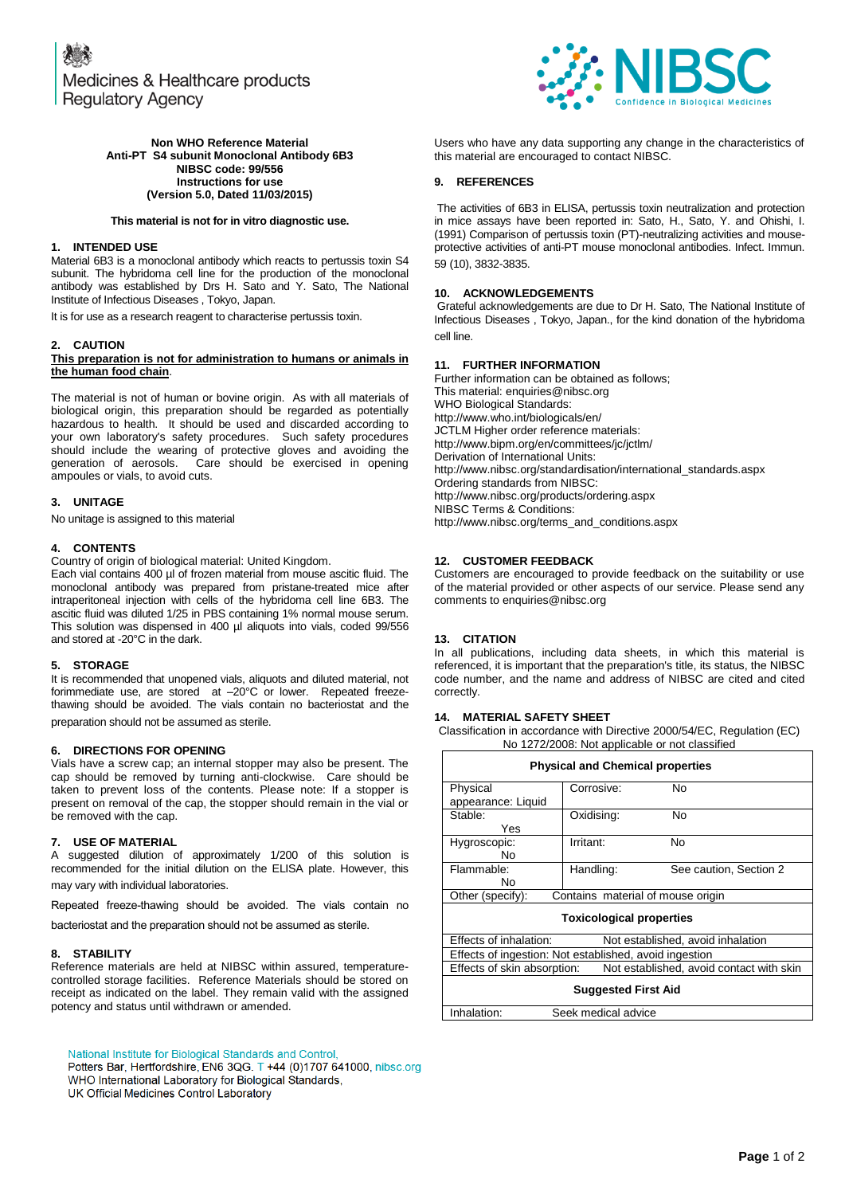

### **Non WHO Reference Material Anti-PT S4 subunit Monoclonal Antibody 6B3 NIBSC code: 99/556 Instructions for use (Version 5.0, Dated 11/03/2015)**

## **This material is not for in vitro diagnostic use.**

# **1. INTENDED USE**

Material 6B3 is a monoclonal antibody which reacts to pertussis toxin S4 subunit. The hybridoma cell line for the production of the monoclonal antibody was established by Drs H. Sato and Y. Sato, The National Institute of Infectious Diseases , Tokyo, Japan.

It is for use as a research reagent to characterise pertussis toxin.

# **2. CAUTION**

### **This preparation is not for administration to humans or animals in the human food chain**.

The material is not of human or bovine origin. As with all materials of biological origin, this preparation should be regarded as potentially hazardous to health. It should be used and discarded according to your own laboratory's safety procedures. Such safety procedures should include the wearing of protective gloves and avoiding the generation of aerosols. Care should be exercised in opening Care should be exercised in opening ampoules or vials, to avoid cuts.

# **3. UNITAGE**

No unitage is assigned to this material

## **4. CONTENTS**

Country of origin of biological material: United Kingdom.

Each vial contains 400 µl of frozen material from mouse ascitic fluid. The monoclonal antibody was prepared from pristane-treated mice after intraperitoneal injection with cells of the hybridoma cell line 6B3. The ascitic fluid was diluted 1/25 in PBS containing 1% normal mouse serum. This solution was dispensed in 400 µl aliquots into vials, coded 99/556 and stored at -20°C in the dark.

#### **5. STORAGE**

It is recommended that unopened vials, aliquots and diluted material, not forimmediate use, are stored at –20°C or lower. Repeated freezethawing should be avoided. The vials contain no bacteriostat and the preparation should not be assumed as sterile.

#### **6. DIRECTIONS FOR OPENING**

Vials have a screw cap; an internal stopper may also be present. The cap should be removed by turning anti-clockwise. Care should be taken to prevent loss of the contents. Please note: If a stopper is present on removal of the cap, the stopper should remain in the vial or be removed with the cap.

#### **7. USE OF MATERIAL**

A suggested dilution of approximately 1/200 of this solution is recommended for the initial dilution on the ELISA plate. However, this may vary with individual laboratories.

Repeated freeze-thawing should be avoided. The vials contain no

bacteriostat and the preparation should not be assumed as sterile.

#### **8. STABILITY**

Reference materials are held at NIBSC within assured, temperaturecontrolled storage facilities. Reference Materials should be stored on receipt as indicated on the label. They remain valid with the assigned potency and status until withdrawn or amended.

National Institute for Biological Standards and Control,

Potters Bar, Hertfordshire, EN6 3QG. T +44 (0)1707 641000, nibsc.org WHO International Laboratory for Biological Standards,

UK Official Medicines Control Laboratory

Users who have any data supporting any change in the characteristics of this material are encouraged to contact NIBSC.

## **9. REFERENCES**

The activities of 6B3 in ELISA, pertussis toxin neutralization and protection in mice assays have been reported in: Sato, H., Sato, Y. and Ohishi, I. (1991) Comparison of pertussis toxin (PT)-neutralizing activities and mouseprotective activities of anti-PT mouse monoclonal antibodies. Infect. Immun. 59 (10), 3832-3835.

## **10. ACKNOWLEDGEMENTS**

Grateful acknowledgements are due to Dr H. Sato, The National Institute of Infectious Diseases , Tokyo, Japan., for the kind donation of the hybridoma cell line.

# **11. FURTHER INFORMATION**

Further information can be obtained as follows; This material[: enquiries@nibsc.org](mailto:enquiries@nibsc.org) WHO Biological Standards: <http://www.who.int/biologicals/en/> JCTLM Higher order reference materials: <http://www.bipm.org/en/committees/jc/jctlm/> Derivation of International Units: [http://www.nibsc.org/standardisation/international\\_standards.aspx](http://www.nibsc.org/standardisation/international_standards.aspx) Ordering standards from NIBSC: <http://www.nibsc.org/products/ordering.aspx> NIBSC Terms & Conditions: [http://www.nibsc.org/terms\\_and\\_conditions.aspx](http://www.nibsc.ac.uk/terms_and_conditions.aspx)

## **12. CUSTOMER FEEDBACK**

Customers are encouraged to provide feedback on the suitability or use of the material provided or other aspects of our service. Please send any comments t[o enquiries@nibsc.org](mailto:enquiries@nibsc.org)

#### **13. CITATION**

In all publications, including data sheets, in which this material is referenced, it is important that the preparation's title, its status, the NIBSC code number, and the name and address of NIBSC are cited and cited correctly.

# **14. MATERIAL SAFETY SHEET**

Classification in accordance with Directive 2000/54/EC, Regulation (EC) No 1272/2008: Not applicable or not classified

| <b>Physical and Chemical properties</b>                     |            |                                          |  |
|-------------------------------------------------------------|------------|------------------------------------------|--|
| Physical                                                    | Corrosive: | No                                       |  |
| appearance: Liquid                                          |            |                                          |  |
| Stable:                                                     | Oxidising: | No                                       |  |
| Yes                                                         |            |                                          |  |
| Hygroscopic:                                                | Irritant:  | No                                       |  |
| No                                                          |            |                                          |  |
| Flammable:                                                  | Handling:  | See caution, Section 2                   |  |
| N٥                                                          |            |                                          |  |
| Other (specify):<br>Contains material of mouse origin       |            |                                          |  |
| <b>Toxicological properties</b>                             |            |                                          |  |
| Effects of inhalation:<br>Not established, avoid inhalation |            |                                          |  |
| Effects of ingestion: Not established, avoid ingestion      |            |                                          |  |
| Effects of skin absorption:                                 |            | Not established, avoid contact with skin |  |
| <b>Suggested First Aid</b>                                  |            |                                          |  |
| Inhalation:<br>Seek medical advice                          |            |                                          |  |